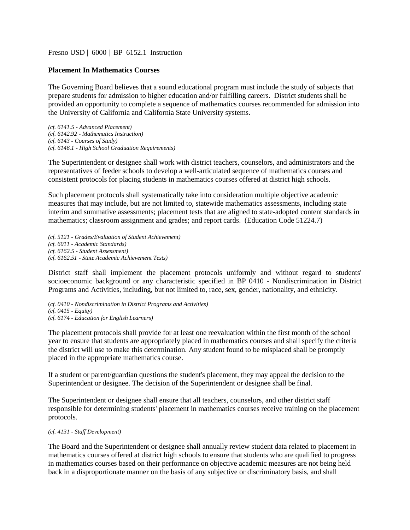## Fresno USD | 6000 | BP 6152.1 Instruction

## **Placement In Mathematics Courses**

The Governing Board believes that a sound educational program must include the study of subjects that prepare students for admission to higher education and/or fulfilling careers. District students shall be provided an opportunity to complete a sequence of mathematics courses recommended for admission into the University of California and California State University systems.

*(cf. 6141.5 - Advanced Placement) (cf. 6142.92 - Mathematics Instruction) (cf. 6143 - Courses of Study) (cf. 6146.1 - High School Graduation Requirements)*

The Superintendent or designee shall work with district teachers, counselors, and administrators and the representatives of feeder schools to develop a well-articulated sequence of mathematics courses and consistent protocols for placing students in mathematics courses offered at district high schools.

Such placement protocols shall systematically take into consideration multiple objective academic measures that may include, but are not limited to, statewide mathematics assessments, including state interim and summative assessments; placement tests that are aligned to state-adopted content standards in mathematics; classroom assignment and grades; and report cards. (Education Code 51224.7)

*(cf. 5121 - Grades/Evaluation of Student Achievement) (cf. 6011 - Academic Standards) (cf. 6162.5 - Student Assessment) (cf. 6162.51 - State Academic Achievement Tests)*

District staff shall implement the placement protocols uniformly and without regard to students' socioeconomic background or any characteristic specified in BP 0410 - Nondiscrimination in District Programs and Activities, including, but not limited to, race, sex, gender, nationality, and ethnicity.

(*cf. 0410 - Nondiscrimination in District Programs and Activities) (cf. 0415 - Equity) (cf. 6174 - Education for English Learners)*

The placement protocols shall provide for at least one reevaluation within the first month of the school year to ensure that students are appropriately placed in mathematics courses and shall specify the criteria the district will use to make this determination. Any student found to be misplaced shall be promptly placed in the appropriate mathematics course.

If a student or parent/guardian questions the student's placement, they may appeal the decision to the Superintendent or designee. The decision of the Superintendent or designee shall be final.

The Superintendent or designee shall ensure that all teachers, counselors, and other district staff responsible for determining students' placement in mathematics courses receive training on the placement protocols.

## *(cf. 4131 - Staff Development)*

The Board and the Superintendent or designee shall annually review student data related to placement in mathematics courses offered at district high schools to ensure that students who are qualified to progress in mathematics courses based on their performance on objective academic measures are not being held back in a disproportionate manner on the basis of any subjective or discriminatory basis, and shall